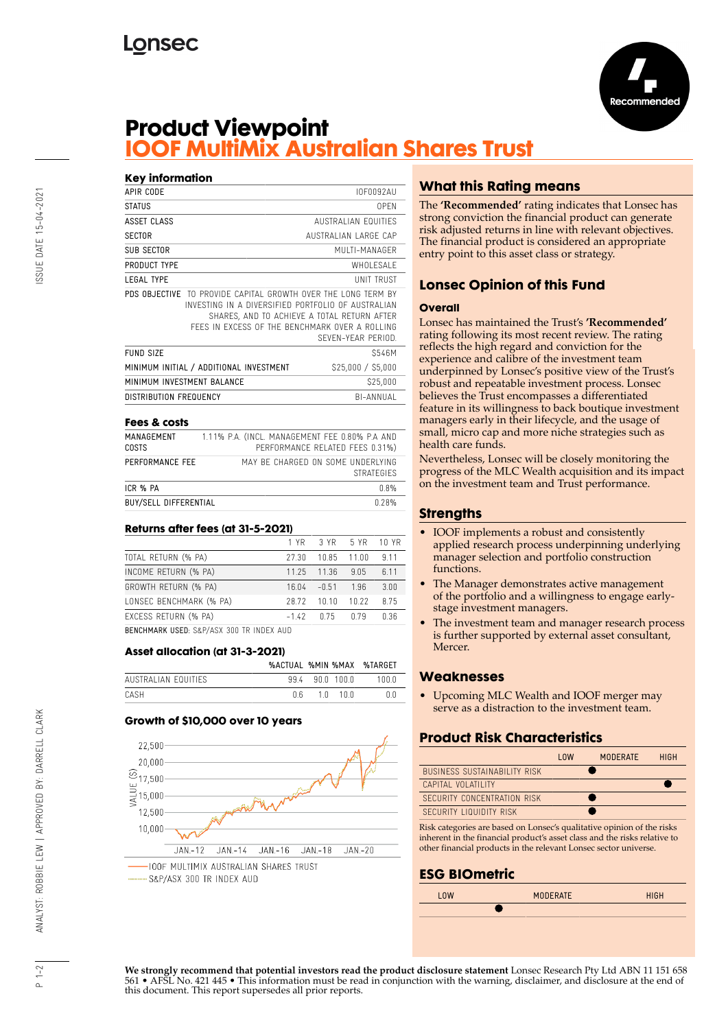



## **Product Viewpoint IOOF MultiMix Australian Shares Trust**

#### **Key information** APIR CODE IOF0092AU STATUS OPEN **ASSET CLASS** AUSTRALIAN EQUITIES SECTOR AUSTRALIAN LARGE CAP SUB SECTOR MULTI-MANAGER PRODUCT TYPE WHOLESALE LEGAL TYPE UNIT TRUST PDS OBJECTIVE TO PROVIDE CAPITAL GROWTH OVER THE LONG TERM BY INVESTING IN A DIVERSIFIED PORTFOLIO OF AUSTRALIAN SHARES, AND TO ACHIEVE A TOTAL RETURN AFTER FEES IN EXCESS OF THE BENCHMARK OVER A ROLLING SEVEN-YEAR PERIOD. FUND SIZE S546M MINIMUM INITIAL / ADDITIONAL INVESTMENT \$25,000 / \$5,000 MINIMUM INVESTMENT BALANCE S25,000 DISTRIBUTION FREQUENCY BI-ANNUAL

#### **Fees & costs**

| MANAGEMENT<br>COSTS          | 1.11% P.A. (INCL. MANAGEMENT FEE 0.80% P.A AND<br>PERFORMANCE RELATED FEES 0.31%) |
|------------------------------|-----------------------------------------------------------------------------------|
| PERFORMANCE FEE              | MAY BE CHARGED ON SOME UNDERLYING<br><b>STRATEGIES</b>                            |
| ICR % PA                     | 0.8%                                                                              |
| <b>BUY/SELL DIFFERENTIAL</b> | በ 28%                                                                             |

#### **Returns after fees (at 31-5-2021)**

|                                          |              | 1 YR 3 YR 5 YR 10 YR |             |      |  |  |
|------------------------------------------|--------------|----------------------|-------------|------|--|--|
| TOTAL RETURN (% PA)                      | 27.30        |                      | 10.85 11.00 | 9.11 |  |  |
| INCOME RETURN (% PA)                     |              | 11.25 11.36          | 9.05        | 6.11 |  |  |
| GROWTH RETURN (% PA)                     |              | $16.04 - 0.51$       | 196         | 3.00 |  |  |
| LONSEC BENCHMARK (% PA)                  |              | 28.72 10.10          | 10.22       | 8.75 |  |  |
| EXCESS RETURN (% PA)                     | $-1.42$ 0.75 |                      | n 79        | 0.36 |  |  |
| BENOUNABLY HOEB CAB/ACY 200 TO INDEV AUD |              |                      |             |      |  |  |

BENCHMARK USED: S&P/ASX 300 TR INDEX AUD

#### **Asset allocation (at 31-3-2021)**

|                     |     |              | %ACTUAL %MIN %MAX %TARGET |
|---------------------|-----|--------------|---------------------------|
| AUSTRALIAN FOUITIES |     | 994 900 1000 | 1 N N N                   |
| CASH                | n R | 10 100       | n n                       |

#### **Growth of \$10,000 over 10 years**



## **What this Rating means**

The **'Recommended'** rating indicates that Lonsec has strong conviction the financial product can generate risk adjusted returns in line with relevant objectives. The financial product is considered an appropriate entry point to this asset class or strategy.

## **Lonsec Opinion of this Fund**

#### **Overall**

Lonsec has maintained the Trust's **'Recommended'** rating following its most recent review. The rating reflects the high regard and conviction for the experience and calibre of the investment team underpinned by Lonsec's positive view of the Trust's robust and repeatable investment process. Lonsec believes the Trust encompasses a differentiated feature in its willingness to back boutique investment managers early in their lifecycle, and the usage of small, micro cap and more niche strategies such as health care funds.

Nevertheless, Lonsec will be closely monitoring the progress of the MLC Wealth acquisition and its impact on the investment team and Trust performance.

#### **Strengths**

- IOOF implements a robust and consistently applied research process underpinning underlying manager selection and portfolio construction functions.
- The Manager demonstrates active management of the portfolio and a willingness to engage earlystage investment managers.
- The investment team and manager research process is further supported by external asset consultant, Mercer.

## **Weaknesses**

• Upcoming MLC Wealth and IOOF merger may serve as a distraction to the investment team.

## **Product Risk Characteristics**

|                                     | $1 \, \text{nw}$ | <b>MODERATE</b> | <b>HIGH</b> |
|-------------------------------------|------------------|-----------------|-------------|
| <b>BUSINESS SUSTAINABILITY RISK</b> |                  |                 |             |
| CAPITAL VOLATILITY                  |                  |                 |             |
| SECURITY CONCENTRATION RISK         |                  |                 |             |
| SECURITY LIQUIDITY RISK             |                  |                 |             |

Risk categories are based on Lonsec's qualitative opinion of the risks inherent in the financial product's asset class and the risks relative to other financial products in the relevant Lonsec sector universe.

## **ESG BIOmetric**



**We strongly recommend that potential investors read the product disclosure statement** Lonsec Research Pty Ltd ABN 11 151 658 561 • AFSL No. 421 445 • This information must be read in conjunction with the warning, disclaimer, and disclosure at the end of this document. This report supersedes all prior reports.